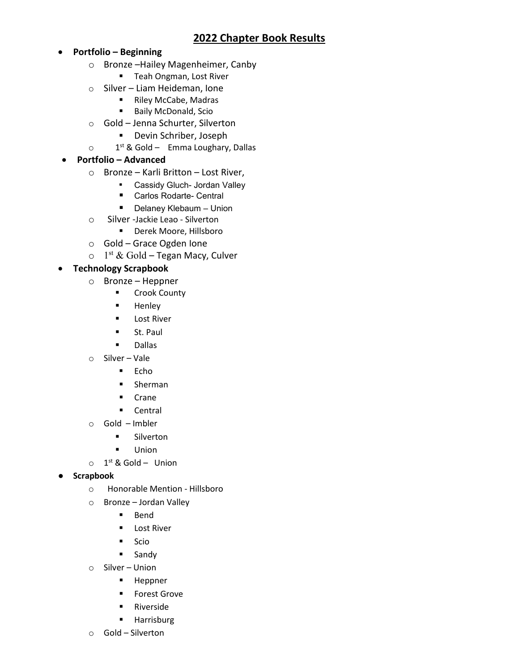# **2022 Chapter Book Results**

- **Portfolio – Beginning**
	- o Bronze –Hailey Magenheimer, Canby
		- **Teah Ongman, Lost River**
	- o Silver Liam Heideman, Ione
		- Riley McCabe, Madras
		- **Baily McDonald, Scio**
	- o Gold Jenna Schurter, Silverton
		- Devin Schriber, Joseph
	- $\circ$  1<sup>st</sup> & Gold Emma Loughary, Dallas

## • **Portfolio – Advanced**

- o Bronze Karli Britton Lost River,
	- Cassidy Gluch- Jordan Valley
	- Carlos Rodarte- Central
	- Delaney Klebaum Union
- o Silver -Jackie Leao Silverton
	- Derek Moore, Hillsboro
- o Gold Grace Ogden Ione
- $\circ$  1<sup>st</sup> & Gold Tegan Macy, Culver

## • **Technology Scrapbook**

- o Bronze Heppner
	- **E** Crook County
	- **Henley**
	- **Lost River**
	- St. Paul
	- Dallas
- o Silver Vale
	- $Echo$
	- **Sherman**
	- **E** Crane
	- **Central**
- o Gold Imbler
	- **E** Silverton
	- **Union**
- $\circ$  1<sup>st</sup> & Gold Union
- **Scrapbook**
	- o Honorable Mention Hillsboro
	- o Bronze Jordan Valley
		- **Bend**
		- **Lost River**
		- $Scio$
		- **Sandy**
	- o Silver Union
		- **Heppner**
		- **Forest Grove**
		- **Riverside**
		- **Harrisburg**
	- o Gold Silverton